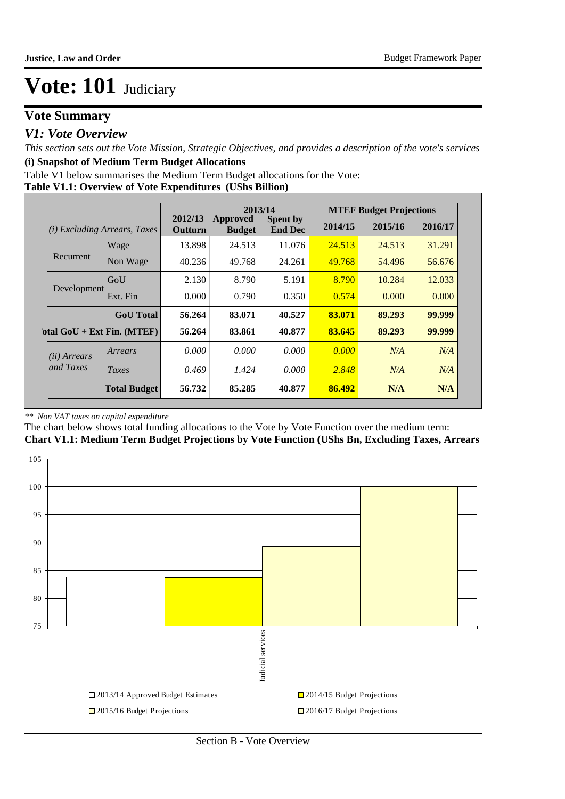# **Vote Summary**

## *V1: Vote Overview*

*This section sets out the Vote Mission, Strategic Objectives, and provides a description of the vote's services* **(i) Snapshot of Medium Term Budget Allocations** 

Table V1 below summarises the Medium Term Budget allocations for the Vote:

#### **Table V1.1: Overview of Vote Expenditures (UShs Billion)**

|                       |                                 |                           | 2013/14                          |                                   |                    | <b>MTEF Budget Projections</b> |         |
|-----------------------|---------------------------------|---------------------------|----------------------------------|-----------------------------------|--------------------|--------------------------------|---------|
| (i)                   | <i>Excluding Arrears, Taxes</i> | 2012/13<br><b>Outturn</b> | <b>Approved</b><br><b>Budget</b> | <b>Spent by</b><br><b>End Dec</b> | 2014/15<br>2015/16 |                                | 2016/17 |
|                       | Wage                            | 13.898                    | 24.513                           | 11.076                            | 24.513             | 24.513                         | 31.291  |
| Recurrent             | Non Wage                        | 40.236                    | 49.768                           | 24.261                            | 49.768             | 54.496                         | 56.676  |
|                       | GoU                             | 2.130                     | 8.790                            | 5.191                             | 8.790              | 10.284                         | 12.033  |
| Development           | Ext. Fin                        | 0.000                     | 0.790                            | 0.350                             | 0.574              | 0.000                          | 0.000   |
|                       | <b>GoU</b> Total                | 56.264                    | 83.071                           | 40.527                            | 83.071             | 89.293                         | 99.999  |
|                       | otal $GoU + Ext Fin. (MTEF)$    | 56.264                    | 83.861                           | 40.877                            | 83.645             | 89.293                         | 99.999  |
| ( <i>ii</i> ) Arrears | Arrears                         | 0.000                     | 0.000                            | 0.000                             | 0.000              | N/A                            | N/A     |
| and Taxes             | <b>Taxes</b>                    | 0.469                     | 1.424                            | 0.000                             | 2.848              | N/A                            | N/A     |
|                       | <b>Total Budget</b>             | 56.732                    | 85.285                           | 40.877                            | 86.492             | N/A                            | N/A     |

#### *\*\* Non VAT taxes on capital expenditure*

The chart below shows total funding allocations to the Vote by Vote Function over the medium term: **Chart V1.1: Medium Term Budget Projections by Vote Function (UShs Bn, Excluding Taxes, Arrears**

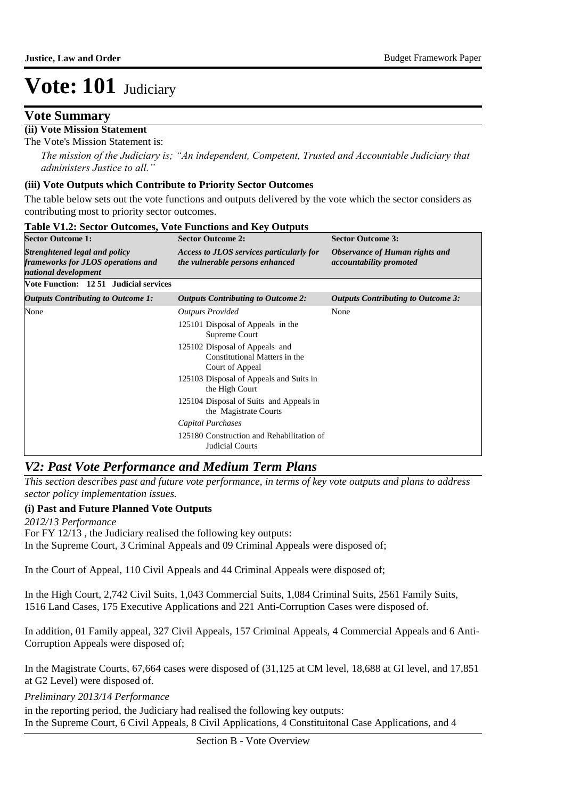## **Vote Summary**

## **(ii) Vote Mission Statement**

The Vote's Mission Statement is:

*The mission of the Judiciary is; "An independent, Competent, Trusted and Accountable Judiciary that administers Justice to all."*

#### **(iii) Vote Outputs which Contribute to Priority Sector Outcomes**

The table below sets out the vote functions and outputs delivered by the vote which the sector considers as contributing most to priority sector outcomes.

| <b>Sector Outcome 1:</b>                                                                    | <b>Sector Outcome 2:</b>                                                           | <b>Sector Outcome 3:</b>                                         |
|---------------------------------------------------------------------------------------------|------------------------------------------------------------------------------------|------------------------------------------------------------------|
| Strenghtened legal and policy<br>frameworks for JLOS operations and<br>national development | Access to JLOS services particularly for<br>the vulnerable persons enhanced        | Observance of Human rights and<br><i>accountability promoted</i> |
| Vote Function: 12 51 Judicial services                                                      |                                                                                    |                                                                  |
| <b>Outputs Contributing to Outcome 1:</b>                                                   | <b>Outputs Contributing to Outcome 2:</b>                                          | <b>Outputs Contributing to Outcome 3:</b>                        |
| None                                                                                        | <b>Outputs Provided</b>                                                            | None                                                             |
|                                                                                             | 125101 Disposal of Appeals in the<br>Supreme Court                                 |                                                                  |
|                                                                                             | 125102 Disposal of Appeals and<br>Constitutional Matters in the<br>Court of Appeal |                                                                  |
|                                                                                             | 125103 Disposal of Appeals and Suits in<br>the High Court                          |                                                                  |
|                                                                                             | 125104 Disposal of Suits and Appeals in<br>the Magistrate Courts                   |                                                                  |
|                                                                                             | Capital Purchases                                                                  |                                                                  |
|                                                                                             | 125180 Construction and Rehabilitation of<br>Judicial Courts                       |                                                                  |

#### **Table V1.2: Sector Outcomes, Vote Functions and Key Outputs**

## *V2: Past Vote Performance and Medium Term Plans*

*This section describes past and future vote performance, in terms of key vote outputs and plans to address sector policy implementation issues.* 

### **(i) Past and Future Planned Vote Outputs**

*2012/13 Performance*

For FY 12/13 , the Judiciary realised the following key outputs: In the Supreme Court, 3 Criminal Appeals and 09 Criminal Appeals were disposed of;

In the Court of Appeal, 110 Civil Appeals and 44 Criminal Appeals were disposed of;

In the High Court, 2,742 Civil Suits, 1,043 Commercial Suits, 1,084 Criminal Suits, 2561 Family Suits,

1516 Land Cases, 175 Executive Applications and 221 Anti-Corruption Cases were disposed of.

In addition, 01 Family appeal, 327 Civil Appeals, 157 Criminal Appeals, 4 Commercial Appeals and 6 Anti-Corruption Appeals were disposed of;

In the Magistrate Courts, 67,664 cases were disposed of (31,125 at CM level, 18,688 at GI level, and 17,851 at G2 Level) were disposed of.

*Preliminary 2013/14 Performance*

in the reporting period, the Judiciary had realised the following key outputs: In the Supreme Court, 6 Civil Appeals, 8 Civil Applications, 4 Constituitonal Case Applications, and 4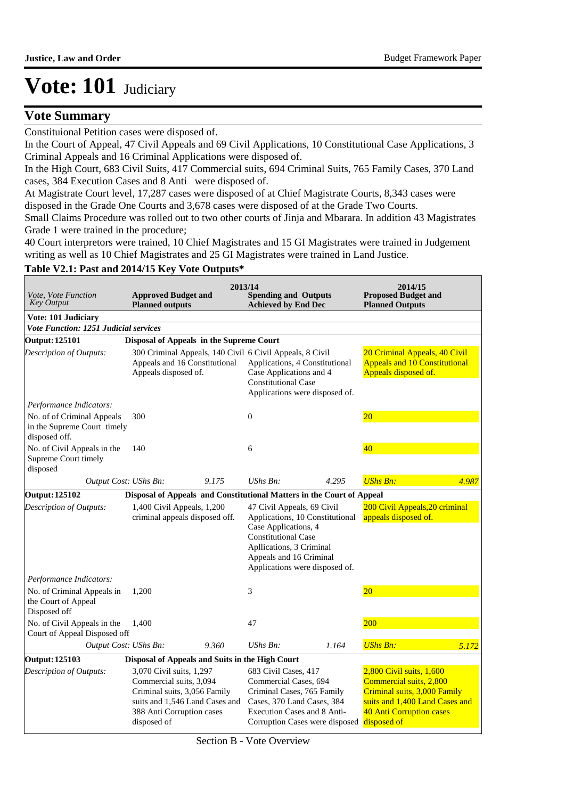## **Vote Summary**

Constituional Petition cases were disposed of.

In the Court of Appeal, 47 Civil Appeals and 69 Civil Applications, 10 Constitutional Case Applications, 3 Criminal Appeals and 16 Criminal Applications were disposed of.

In the High Court, 683 Civil Suits, 417 Commercial suits, 694 Criminal Suits, 765 Family Cases, 370 Land cases, 384 Execution Cases and 8 Anti were disposed of.

At Magistrate Court level, 17,287 cases were disposed of at Chief Magistrate Courts, 8,343 cases were disposed in the Grade One Courts and 3,678 cases were disposed of at the Grade Two Courts.

Small Claims Procedure was rolled out to two other courts of Jinja and Mbarara. In addition 43 Magistrates Grade 1 were trained in the procedure;

40 Court interpretors were trained, 10 Chief Magistrates and 15 GI Magistrates were trained in Judgement writing as well as 10 Chief Magistrates and 25 GI Magistrates were trained in Land Justice.

#### **Table V2.1: Past and 2014/15 Key Vote Outputs\***

| Vote, Vote Function<br><b>Key Output</b>                                   | <b>Approved Budget and</b><br><b>Planned outputs</b>                                                                                                              | 2013/14 | <b>Spending and Outputs</b><br><b>Achieved by End Dec</b>                                                                                                                                                    |       | 2014/15<br><b>Proposed Budget and</b><br><b>Planned Outputs</b>                                                                                                  |       |
|----------------------------------------------------------------------------|-------------------------------------------------------------------------------------------------------------------------------------------------------------------|---------|--------------------------------------------------------------------------------------------------------------------------------------------------------------------------------------------------------------|-------|------------------------------------------------------------------------------------------------------------------------------------------------------------------|-------|
| <b>Vote: 101 Judiciary</b>                                                 |                                                                                                                                                                   |         |                                                                                                                                                                                                              |       |                                                                                                                                                                  |       |
| Vote Function: 1251 Judicial services                                      |                                                                                                                                                                   |         |                                                                                                                                                                                                              |       |                                                                                                                                                                  |       |
| <b>Output: 125101</b>                                                      | Disposal of Appeals in the Supreme Court                                                                                                                          |         |                                                                                                                                                                                                              |       |                                                                                                                                                                  |       |
| Description of Outputs:                                                    | Appeals and 16 Constitutional<br>Appeals disposed of.                                                                                                             |         | 300 Criminal Appeals, 140 Civil 6 Civil Appeals, 8 Civil<br>Applications, 4 Constitutional<br>Case Applications and 4<br><b>Constitutional Case</b><br>Applications were disposed of.                        |       | 20 Criminal Appeals, 40 Civil<br><b>Appeals and 10 Constitutional</b><br>Appeals disposed of.                                                                    |       |
| Performance Indicators:                                                    |                                                                                                                                                                   |         |                                                                                                                                                                                                              |       |                                                                                                                                                                  |       |
| No. of of Criminal Appeals<br>in the Supreme Court timely<br>disposed off. | 300                                                                                                                                                               |         | $\overline{0}$                                                                                                                                                                                               |       | $20\,$                                                                                                                                                           |       |
| No. of Civil Appeals in the<br>Supreme Court timely<br>disposed            | 140                                                                                                                                                               |         | 6                                                                                                                                                                                                            |       | 40                                                                                                                                                               |       |
| Output Cost: UShs Bn:                                                      |                                                                                                                                                                   | 9.175   | $UShs Bn$ :                                                                                                                                                                                                  | 4.295 | <b>UShs Bn:</b>                                                                                                                                                  | 4.987 |
| <b>Output: 125102</b>                                                      |                                                                                                                                                                   |         | Disposal of Appeals and Constitutional Matters in the Court of Appeal                                                                                                                                        |       |                                                                                                                                                                  |       |
| Description of Outputs:                                                    | 1,400 Civil Appeals, 1,200<br>criminal appeals disposed off.                                                                                                      |         | 47 Civil Appeals, 69 Civil<br>Applications, 10 Constitutional<br>Case Applications, 4<br><b>Constitutional Case</b><br>Apllications, 3 Criminal<br>Appeals and 16 Criminal<br>Applications were disposed of. |       | 200 Civil Appeals, 20 criminal<br>appeals disposed of.                                                                                                           |       |
| Performance Indicators:                                                    |                                                                                                                                                                   |         |                                                                                                                                                                                                              |       |                                                                                                                                                                  |       |
| No. of Criminal Appeals in<br>the Court of Appeal<br>Disposed off          | 1,200                                                                                                                                                             |         | 3                                                                                                                                                                                                            |       | $20\,$                                                                                                                                                           |       |
| No. of Civil Appeals in the<br>Court of Appeal Disposed off                | 1.400                                                                                                                                                             |         | 47                                                                                                                                                                                                           |       | 200                                                                                                                                                              |       |
| Output Cost: UShs Bn:                                                      |                                                                                                                                                                   | 9.360   | UShs Bn:                                                                                                                                                                                                     | 1.164 | <b>UShs Bn:</b>                                                                                                                                                  | 5.172 |
| <b>Output: 125103</b>                                                      | Disposal of Appeals and Suits in the High Court                                                                                                                   |         |                                                                                                                                                                                                              |       |                                                                                                                                                                  |       |
| Description of Outputs:                                                    | 3,070 Civil suits, 1,297<br>Commercial suits, 3,094<br>Criminal suits, 3,056 Family<br>suits and 1,546 Land Cases and<br>388 Anti Corruption cases<br>disposed of |         | 683 Civil Cases, 417<br>Commercial Cases, 694<br>Criminal Cases, 765 Family<br>Cases, 370 Land Cases, 384<br><b>Execution Cases and 8 Anti-</b><br>Corruption Cases were disposed                            |       | 2,800 Civil suits, 1,600<br>Commercial suits, 2,800<br>Criminal suits, 3,000 Family<br>suits and 1,400 Land Cases and<br>40 Anti Corruption cases<br>disposed of |       |

Section B - Vote Overview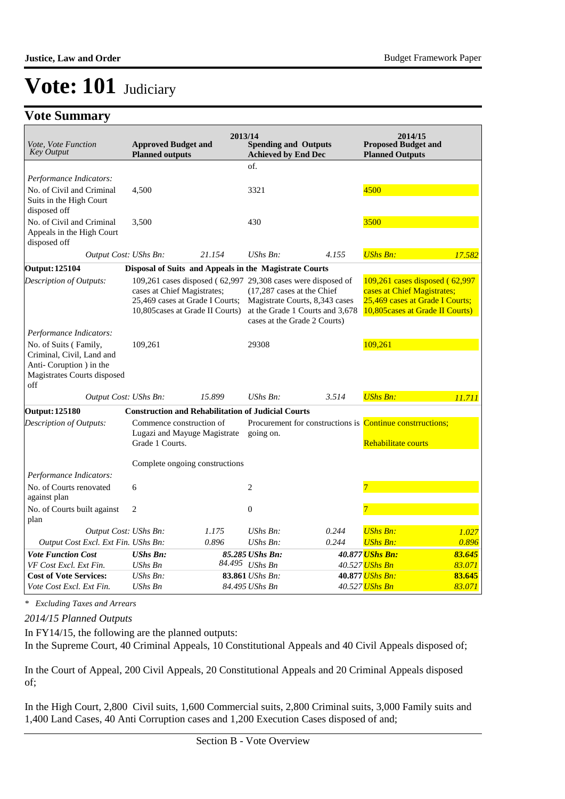# **Vote Summary**

| Vote, Vote Function<br><b>Key Output</b>                                                                            | <b>Approved Budget and</b><br><b>Planned outputs</b>                        | 2013/14                                                                                                                             | <b>Spending and Outputs</b><br><b>Achieved by End Dec</b>  |                                                                   | 2014/15<br><b>Proposed Budget and</b><br><b>Planned Outputs</b>                                                                      |                  |
|---------------------------------------------------------------------------------------------------------------------|-----------------------------------------------------------------------------|-------------------------------------------------------------------------------------------------------------------------------------|------------------------------------------------------------|-------------------------------------------------------------------|--------------------------------------------------------------------------------------------------------------------------------------|------------------|
|                                                                                                                     |                                                                             |                                                                                                                                     | of.                                                        |                                                                   |                                                                                                                                      |                  |
| Performance Indicators:                                                                                             |                                                                             |                                                                                                                                     |                                                            |                                                                   |                                                                                                                                      |                  |
| No. of Civil and Criminal<br>Suits in the High Court<br>disposed off                                                | 4,500                                                                       |                                                                                                                                     | 3321                                                       |                                                                   | 4500                                                                                                                                 |                  |
| No. of Civil and Criminal<br>Appeals in the High Court<br>disposed off                                              | 3,500                                                                       |                                                                                                                                     | 430                                                        |                                                                   | 3500                                                                                                                                 |                  |
| Output Cost: UShs Bn:                                                                                               |                                                                             | 21.154                                                                                                                              | $UShs Bn$ :                                                | 4.155                                                             | <b>UShs Bn:</b>                                                                                                                      | 17.582           |
| <b>Output: 125104</b>                                                                                               |                                                                             | Disposal of Suits and Appeals in the Magistrate Courts                                                                              |                                                            |                                                                   |                                                                                                                                      |                  |
| Description of Outputs:                                                                                             | cases at Chief Magistrates;                                                 | 109,261 cases disposed (62,997 29,308 cases were disposed of<br>25,469 cases at Grade I Courts;<br>10,805 cases at Grade II Courts) | (17,287 cases at the Chief<br>cases at the Grade 2 Courts) | Magistrate Courts, 8,343 cases<br>at the Grade 1 Courts and 3,678 | 109,261 cases disposed (62,997<br>cases at Chief Magistrates;<br>25,469 cases at Grade I Courts;<br>10,805 cases at Grade II Courts) |                  |
| Performance Indicators:                                                                                             |                                                                             |                                                                                                                                     |                                                            |                                                                   |                                                                                                                                      |                  |
| No. of Suits (Family,<br>Criminal, Civil, Land and<br>Anti-Coruption ) in the<br>Magistrates Courts disposed<br>off | 109,261                                                                     |                                                                                                                                     | 29308                                                      |                                                                   | 109,261                                                                                                                              |                  |
| Output Cost: UShs Bn:                                                                                               |                                                                             | 15.899                                                                                                                              | $UShs Bn$ :                                                | 3.514                                                             | <b>UShs Bn:</b>                                                                                                                      | 11.711           |
| <b>Output: 125180</b>                                                                                               |                                                                             | <b>Construction and Rehabilitation of Judicial Courts</b>                                                                           |                                                            |                                                                   |                                                                                                                                      |                  |
| Description of Outputs:                                                                                             | Commence construction of<br>Lugazi and Mayuge Magistrate<br>Grade 1 Courts. |                                                                                                                                     | going on.                                                  |                                                                   | Procurement for constructions is <b>Continue constructions;</b><br>Rehabilitate courts                                               |                  |
|                                                                                                                     |                                                                             | Complete ongoing constructions                                                                                                      |                                                            |                                                                   |                                                                                                                                      |                  |
| Performance Indicators:                                                                                             |                                                                             |                                                                                                                                     |                                                            |                                                                   |                                                                                                                                      |                  |
| No. of Courts renovated<br>against plan                                                                             | 6                                                                           |                                                                                                                                     | $\overline{c}$                                             |                                                                   | 7                                                                                                                                    |                  |
| No. of Courts built against<br>plan                                                                                 | $\overline{2}$                                                              |                                                                                                                                     | $\overline{0}$                                             |                                                                   |                                                                                                                                      |                  |
| Output Cost: UShs Bn:                                                                                               |                                                                             | 1.175                                                                                                                               | UShs Bn:                                                   | 0.244                                                             | <b>UShs Bn:</b>                                                                                                                      | 1.027            |
| Output Cost Excl. Ext Fin. UShs Bn:                                                                                 |                                                                             | 0.896                                                                                                                               | $UShs Bn$ :                                                | 0.244                                                             | <b>UShs Bn:</b>                                                                                                                      | 0.896            |
| <b>Vote Function Cost</b>                                                                                           | <b>UShs Bn:</b>                                                             |                                                                                                                                     | 85.285 UShs Bn:                                            |                                                                   | 40.877 UShs Bn:                                                                                                                      | 83.645           |
| VF Cost Excl. Ext Fin.                                                                                              | UShs Bn                                                                     |                                                                                                                                     | 84.495 UShs Bn                                             |                                                                   | 40.527 <mark>UShs Bn</mark>                                                                                                          | 83.071           |
| <b>Cost of Vote Services:</b><br>Vote Cost Excl. Ext Fin.                                                           | $UShs Bn$ :<br>UShs Bn                                                      |                                                                                                                                     | 83.861 UShs Bn:<br>84.495 UShs Bn                          |                                                                   | 40.877 UShs Bn:<br>40.527 UShs Bn                                                                                                    | 83.645<br>83.071 |

*\* Excluding Taxes and Arrears*

*2014/15 Planned Outputs*

In FY14/15, the following are the planned outputs: In the Supreme Court, 40 Criminal Appeals, 10 Constitutional Appeals and 40 Civil Appeals disposed of;

In the Court of Appeal, 200 Civil Appeals, 20 Constitutional Appeals and 20 Criminal Appeals disposed of;

In the High Court, 2,800 Civil suits, 1,600 Commercial suits, 2,800 Criminal suits, 3,000 Family suits and 1,400 Land Cases, 40 Anti Corruption cases and 1,200 Execution Cases disposed of and;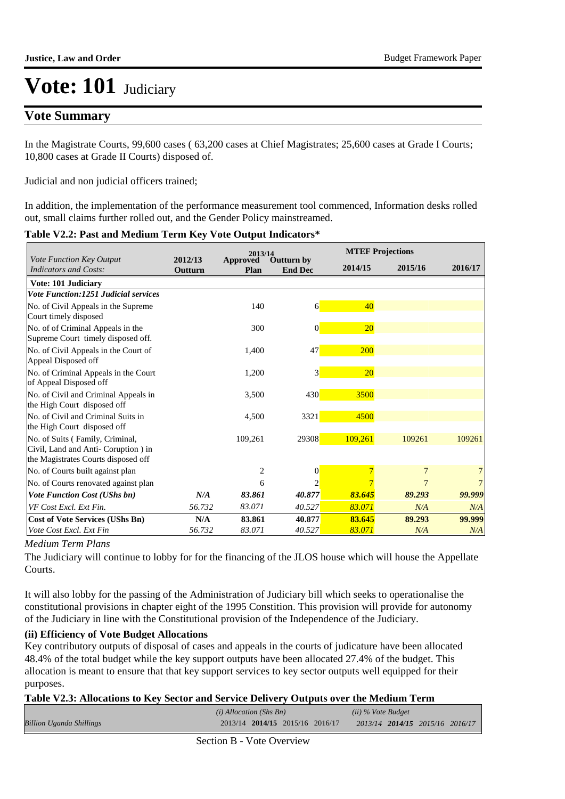## **Vote Summary**

In the Magistrate Courts, 99,600 cases ( 63,200 cases at Chief Magistrates; 25,600 cases at Grade I Courts; 10,800 cases at Grade II Courts) disposed of.

Judicial and non judicial officers trained;

In addition, the implementation of the performance measurement tool commenced, Information desks rolled out, small claims further rolled out, and the Gender Policy mainstreamed.

#### **Table V2.2: Past and Medium Term Key Vote Output Indicators\***

|                                                                                                                |                    | 2013/14          |                                     |            | <b>MTEF Projections</b> |         |
|----------------------------------------------------------------------------------------------------------------|--------------------|------------------|-------------------------------------|------------|-------------------------|---------|
| Vote Function Key Output<br><b>Indicators and Costs:</b>                                                       | 2012/13<br>Outturn | Approved<br>Plan | <b>Outturn by</b><br><b>End Dec</b> | 2014/15    | 2015/16                 | 2016/17 |
| Vote: 101 Judiciary                                                                                            |                    |                  |                                     |            |                         |         |
| <b>Vote Function:1251 Judicial services</b>                                                                    |                    |                  |                                     |            |                         |         |
| No. of Civil Appeals in the Supreme<br>Court timely disposed                                                   |                    | 140              | $\vert 6 \vert$                     | 40         |                         |         |
| No. of of Criminal Appeals in the<br>Supreme Court timely disposed off.                                        |                    | 300              | $\vert 0 \vert$                     | 20         |                         |         |
| No. of Civil Appeals in the Court of<br>Appeal Disposed off                                                    |                    | 1,400            | 47                                  | <b>200</b> |                         |         |
| No. of Criminal Appeals in the Court<br>of Appeal Disposed off                                                 |                    | 1,200            | 3                                   | 20         |                         |         |
| No. of Civil and Criminal Appeals in<br>the High Court disposed off                                            |                    | 3,500            | 430                                 | 3500       |                         |         |
| No. of Civil and Criminal Suits in<br>the High Court disposed off                                              |                    | 4,500            | 3321                                | 4500       |                         |         |
| No. of Suits (Family, Criminal,<br>Civil, Land and Anti- Coruption ) in<br>the Magistrates Courts disposed off |                    | 109,261          | 29308                               | 109,261    | 109261                  | 109261  |
| No. of Courts built against plan                                                                               |                    | $\overline{2}$   | $\mathbf{0}$                        |            | 7                       |         |
| No. of Courts renovated against plan                                                                           |                    | 6                |                                     |            |                         |         |
| <b>Vote Function Cost (UShs bn)</b>                                                                            | N/A                | 83.861           | 40.877                              | 83.645     | 89.293                  | 99.999  |
| VF Cost Excl. Ext Fin.                                                                                         | 56.732             | 83.071           | 40.527                              | 83.071     | N/A                     | N/A     |
| <b>Cost of Vote Services (UShs Bn)</b>                                                                         | N/A                | 83.861           | 40.877                              | 83.645     | 89.293                  | 99.999  |
| Vote Cost Excl. Ext Fin                                                                                        | 56.732             | 83.071           | 40.527                              | 83.071     | N/A                     | N/A     |

#### *Medium Term Plans*

The Judiciary will continue to lobby for for the financing of the JLOS house which will house the Appellate Courts.

It will also lobby for the passing of the Administration of Judiciary bill which seeks to operationalise the constitutional provisions in chapter eight of the 1995 Constition. This provision will provide for autonomy of the Judiciary in line with the Constitutional provision of the Independence of the Judiciary.

### **(ii) Efficiency of Vote Budget Allocations**

Key contributory outputs of disposal of cases and appeals in the courts of judicature have been allocated 48.4% of the total budget while the key support outputs have been allocated 27.4% of the budget. This allocation is meant to ensure that that key support services to key sector outputs well equipped for their purposes.

## **Table V2.3: Allocations to Key Sector and Service Delivery Outputs over the Medium Term**

|                                 | $(i)$ Allocation (Shs Bn)       | $(ii)$ % Vote Budget            |
|---------------------------------|---------------------------------|---------------------------------|
| <b>Billion Uganda Shillings</b> | 2013/14 2014/15 2015/16 2016/17 | 2013/14 2014/15 2015/16 2016/17 |
|                                 | $\sim$ $\sim$ $\sim$ $\sim$     |                                 |

Section B - Vote Overview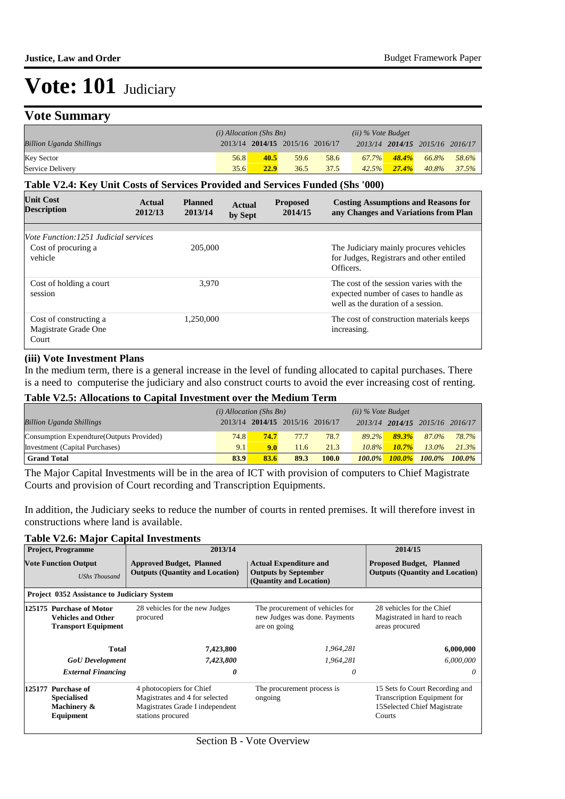# **Vote Summary**

|                                 | $(i)$ Allocation (Shs Bn) |                                 |      | $(ii)$ % Vote Budget |       |          |                                 |       |
|---------------------------------|---------------------------|---------------------------------|------|----------------------|-------|----------|---------------------------------|-------|
| <b>Billion Uganda Shillings</b> |                           | 2013/14 2014/15 2015/16 2016/17 |      |                      |       |          | 2013/14 2014/15 2015/16 2016/17 |       |
| <b>Key Sector</b>               | 56.8                      | 40.5                            | 59.6 | 58.6                 | 67.7% | 48.4%    | 66.8%                           | 58.6% |
| Service Delivery                | 35.6                      | 22.9                            | 36.5 | 37.5                 | 42.5% | $27.4\%$ | 40.8%                           | 37.5% |

#### **Table V2.4: Key Unit Costs of Services Provided and Services Funded (Shs '000)**

| <b>Unit Cost</b><br><b>Description</b>                  | Actual<br>2012/13 | <b>Planned</b><br>2013/14 | Actual<br>by Sept | <b>Proposed</b><br>2014/15 | <b>Costing Assumptions and Reasons for</b><br>any Changes and Variations from Plan                                     |
|---------------------------------------------------------|-------------------|---------------------------|-------------------|----------------------------|------------------------------------------------------------------------------------------------------------------------|
|                                                         |                   |                           |                   |                            |                                                                                                                        |
| <i>Vote Function:1251 Judicial services</i>             |                   |                           |                   |                            |                                                                                                                        |
| Cost of procuring a<br>vehicle                          |                   | 205,000                   |                   |                            | The Judiciary mainly procures vehicles<br>for Judges, Registrars and other entiled<br>Officers.                        |
| Cost of holding a court<br>session                      |                   | 3.970                     |                   |                            | The cost of the session varies with the<br>expected number of cases to handle as<br>well as the duration of a session. |
| Cost of constructing a<br>Magistrate Grade One<br>Court |                   | 1.250.000                 |                   |                            | The cost of construction materials keeps<br>increasing.                                                                |

#### **(iii) Vote Investment Plans**

In the medium term, there is a general increase in the level of funding allocated to capital purchases. There is a need to computerise the judiciary and also construct courts to avoid the ever increasing cost of renting.

## **Table V2.5: Allocations to Capital Investment over the Medium Term**

|                                           | $(i)$ Allocation (Shs Bn) |      |                                 | $(ii)$ % Vote Budget |           |          |                                 |       |
|-------------------------------------------|---------------------------|------|---------------------------------|----------------------|-----------|----------|---------------------------------|-------|
| <b>Billion Uganda Shillings</b>           |                           |      | 2013/14 2014/15 2015/16 2016/17 |                      |           |          | 2013/14 2014/15 2015/16 2016/17 |       |
| Consumption Expendture (Outputs Provided) | <b>74.8</b>               | 74.7 | 77.7                            | 78.7                 | 89.2%     | 89.3%    | 87.0%                           | 78.7% |
| Investment (Capital Purchases)            | 9.1                       | 9.0  | 11.6                            | 21.3                 | $10.8\%$  | $10.7\%$ | $13.0\%$                        | 21.3% |
| <b>Grand Total</b>                        | 83.9                      | 83.6 | 89.3                            | 100.0                | $100.0\%$ |          | 100.0% 100.0% 100.0%            |       |

The Major Capital Investments will be in the area of ICT with provision of computers to Chief Magistrate Courts and provision of Court recording and Transcription Equipments.

In addition, the Judiciary seeks to reduce the number of courts in rented premises. It will therefore invest in constructions where land is available.

### **Table V2.6: Major Capital Investments**

|                                                                                     | <b>Project, Programme</b>                                            | 2013/14                                                                                                            | 2014/15                                                                          |                                                                                                        |
|-------------------------------------------------------------------------------------|----------------------------------------------------------------------|--------------------------------------------------------------------------------------------------------------------|----------------------------------------------------------------------------------|--------------------------------------------------------------------------------------------------------|
|                                                                                     | <b>Vote Function Output</b><br><b>UShs Thousand</b>                  | <b>Approved Budget, Planned</b><br><b>Outputs (Quantity and Location)</b>                                          | <b>Proposed Budget, Planned</b><br><b>Outputs (Quantity and Location)</b>        |                                                                                                        |
|                                                                                     | Project 0352 Assistance to Judiciary System                          |                                                                                                                    |                                                                                  |                                                                                                        |
| 125175 Purchase of Motor<br><b>Vehicles and Other</b><br><b>Transport Equipment</b> |                                                                      | 28 vehicles for the new Judges<br>procured                                                                         | The procurement of vehicles for<br>new Judges was done. Payments<br>are on going | 28 vehicles for the Chief<br>Magistrated in hard to reach<br>areas procured                            |
|                                                                                     | Total                                                                | 7,423,800                                                                                                          | 1,964,281                                                                        | 6,000,000                                                                                              |
|                                                                                     | <b>GoU</b> Development                                               | 7,423,800                                                                                                          | 1,964,281                                                                        | 6,000,000                                                                                              |
|                                                                                     | <b>External Financing</b>                                            | 0                                                                                                                  | 0                                                                                | 0                                                                                                      |
|                                                                                     | 125177 Purchase of<br><b>Specialised</b><br>Machinery &<br>Equipment | 4 photocopiers for Chief<br>Magistrates and 4 for selected<br>Magistrates Grade I independent<br>stations procured | The procurement process is<br>ongoing                                            | 15 Sets fo Court Recording and<br>Transcription Equipment for<br>15Selected Chief Magistrate<br>Courts |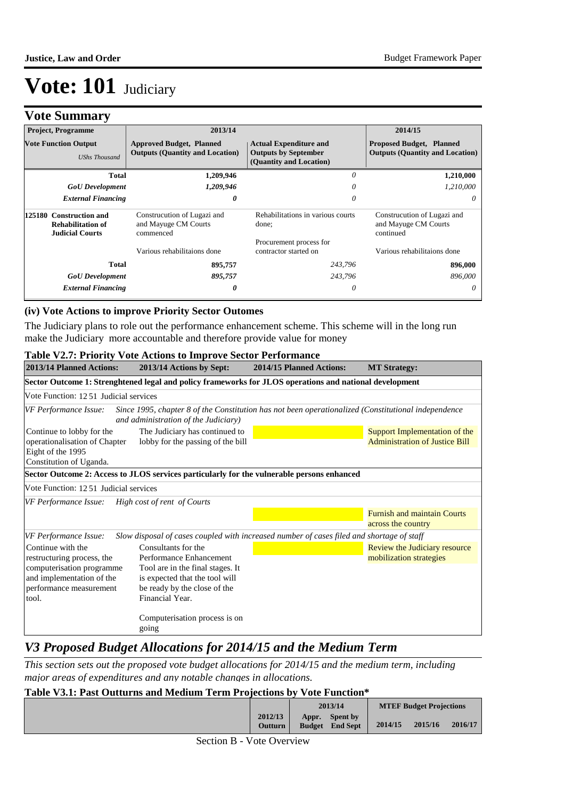# **Vote Summary**

| <b>Project, Programme</b>                           |                                                    | 2013/14                                                                                                                                                              |                                                  | 2014/15                                                                   |
|-----------------------------------------------------|----------------------------------------------------|----------------------------------------------------------------------------------------------------------------------------------------------------------------------|--------------------------------------------------|---------------------------------------------------------------------------|
| <b>Vote Function Output</b><br><b>UShs Thousand</b> |                                                    | <b>Actual Expenditure and</b><br><b>Approved Budget, Planned</b><br><b>Outputs (Quantity and Location)</b><br><b>Outputs by September</b><br>(Quantity and Location) |                                                  | <b>Proposed Budget, Planned</b><br><b>Outputs (Quantity and Location)</b> |
|                                                     | Total                                              | 1,209,946                                                                                                                                                            | 0                                                | 1,210,000                                                                 |
|                                                     | <b>GoU</b> Development                             | 1,209,946                                                                                                                                                            | 0                                                | 1,210,000                                                                 |
|                                                     | <b>External Financing</b>                          | 0                                                                                                                                                                    | 0                                                | 0                                                                         |
| 125180 Construction and                             | <b>Rehabilitation of</b><br><b>Judicial Courts</b> | Construcution of Lugazi and<br>and Mayuge CM Courts<br>commenced                                                                                                     | Rehabilitations in various courts<br>done;       | Construcution of Lugazi and<br>and Mayuge CM Courts<br>continued          |
|                                                     |                                                    | Various rehabilitaions done                                                                                                                                          | Procurement process for<br>contractor started on | Various rehabilitaions done                                               |
|                                                     | Total                                              | 895,757                                                                                                                                                              | 243,796                                          | 896,000                                                                   |
|                                                     | <b>GoU</b> Development                             | 895,757                                                                                                                                                              | 243,796                                          | 896,000                                                                   |
|                                                     | <b>External Financing</b>                          | 0                                                                                                                                                                    | 0                                                | 0                                                                         |

#### **(iv) Vote Actions to improve Priority Sector Outomes**

The Judiciary plans to role out the performance enhancement scheme. This scheme will in the long run make the Judiciary more accountable and therefore provide value for money

#### **Table V2.7: Priority Vote Actions to Improve Sector Performance**

| 2013/14 Planned Actions:                                                                                                                                             | 2013/14 Actions by Sept:                                                                                                                                                | 2014/15 Planned Actions: | <b>MT Strategy:</b>                                                    |  |  |  |  |  |  |  |
|----------------------------------------------------------------------------------------------------------------------------------------------------------------------|-------------------------------------------------------------------------------------------------------------------------------------------------------------------------|--------------------------|------------------------------------------------------------------------|--|--|--|--|--|--|--|
| Sector Outcome 1: Strenghtened legal and policy frameworks for JLOS operations and national development                                                              |                                                                                                                                                                         |                          |                                                                        |  |  |  |  |  |  |  |
| Vote Function: 12.51 Judicial services                                                                                                                               |                                                                                                                                                                         |                          |                                                                        |  |  |  |  |  |  |  |
| Since 1995, chapter 8 of the Constitution has not been operationalized (Constitutional independence<br>VF Performance Issue:<br>and administration of the Judiciary) |                                                                                                                                                                         |                          |                                                                        |  |  |  |  |  |  |  |
| Continue to lobby for the<br>operationalisation of Chapter<br>Eight of the 1995<br>Constitution of Uganda.                                                           | The Judiciary has continued to<br>lobby for the passing of the bill                                                                                                     |                          | Support Implementation of the<br><b>Administration of Justice Bill</b> |  |  |  |  |  |  |  |
|                                                                                                                                                                      | Sector Outcome 2: Access to JLOS services particularly for the vulnerable persons enhanced                                                                              |                          |                                                                        |  |  |  |  |  |  |  |
| Vote Function: 12.51 Judicial services                                                                                                                               |                                                                                                                                                                         |                          |                                                                        |  |  |  |  |  |  |  |
| VF Performance Issue:                                                                                                                                                | High cost of rent of Courts                                                                                                                                             |                          |                                                                        |  |  |  |  |  |  |  |
|                                                                                                                                                                      |                                                                                                                                                                         |                          | <b>Furnish and maintain Courts</b><br>across the country               |  |  |  |  |  |  |  |
| VF Performance Issue:                                                                                                                                                | Slow disposal of cases coupled with increased number of cases filed and shortage of staff                                                                               |                          |                                                                        |  |  |  |  |  |  |  |
| Continue with the<br>restructuring process, the<br>computerisation programme<br>and implementation of the<br>performance measurement<br>tool.                        | Consultants for the<br>Performance Enhancement<br>Tool are in the final stages. It<br>is expected that the tool will<br>be ready by the close of the<br>Financial Year. |                          | Review the Judiciary resource<br>mobilization strategies               |  |  |  |  |  |  |  |
|                                                                                                                                                                      | Computerisation process is on<br>going                                                                                                                                  |                          |                                                                        |  |  |  |  |  |  |  |

# *V3 Proposed Budget Allocations for 2014/15 and the Medium Term*

*This section sets out the proposed vote budget allocations for 2014/15 and the medium term, including major areas of expenditures and any notable changes in allocations.* 

### **Table V3.1: Past Outturns and Medium Term Projections by Vote Function\***

|                    | 2013/14                                            |         | <b>MTEF Budget Projections</b> |         |
|--------------------|----------------------------------------------------|---------|--------------------------------|---------|
| 2012/13<br>Outturn | <b>Spent by</b><br>Appr.<br><b>Budget</b> End Sept | 2014/15 | 2015/16                        | 2016/17 |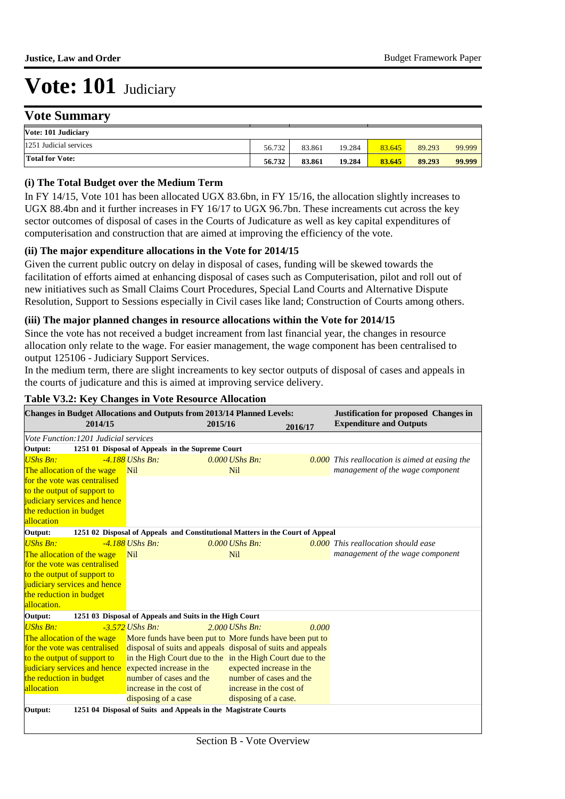## **Vote Summary**

| Vote: 101 Judiciary    |        |        |        |        |        |        |
|------------------------|--------|--------|--------|--------|--------|--------|
| 1251 Judicial services | 56.732 | 83.861 | 19.284 | 83.645 | 89.293 | 99.999 |
| <b>Total for Vote:</b> | 56.732 | 83.861 | 19.284 | 83.645 | 89.293 | 99.999 |

**2012/13** 

**Spent by** 

**Appr.** 

### **(i) The Total Budget over the Medium Term**

In FY 14/15, Vote 101 has been allocated UGX 83.6bn, in FY 15/16, the allocation slightly increases to UGX 88.4bn and it further increases in FY 16/17 to UGX 96.7bn. These increaments cut across the key sector outcomes of disposal of cases in the Courts of Judicature as well as key capital expenditures of computerisation and construction that are aimed at improving the efficiency of the vote.

### **(ii) The major expenditure allocations in the Vote for 2014/15**

Given the current public outcry on delay in disposal of cases, funding will be skewed towards the facilitation of efforts aimed at enhancing disposal of cases such as Computerisation, pilot and roll out of new initiatives such as Small Claims Court Procedures, Special Land Courts and Alternative Dispute Resolution, Support to Sessions especially in Civil cases like land; Construction of Courts among others.

#### **(iii) The major planned changes in resource allocations within the Vote for 2014/15**

Since the vote has not received a budget increament from last financial year, the changes in resource allocation only relate to the wage. For easier management, the wage component has been centralised to output 125106 - Judiciary Support Services.

In the medium term, there are slight increaments to key sector outputs of disposal of cases and appeals in the courts of judicature and this is aimed at improving service delivery.

| <b>Changes in Budget Allocations and Outputs from 2013/14 Planned Levels:</b><br>2014/15 |                                                                               | 2015/16                  | 2016/17 | <b>Justification for proposed Changes in</b><br><b>Expenditure and Outputs</b> |
|------------------------------------------------------------------------------------------|-------------------------------------------------------------------------------|--------------------------|---------|--------------------------------------------------------------------------------|
| Vote Function: 1201 Judicial services                                                    |                                                                               |                          |         |                                                                                |
| Output:                                                                                  | 1251 01 Disposal of Appeals in the Supreme Court                              |                          |         |                                                                                |
| <b>UShs Bn:</b>                                                                          | $-4.188$ UShs Bn:                                                             | $0.000$ UShs Bn:         |         | $0.000$ This reallocation is aimed at easing the                               |
| The allocation of the wage                                                               | <b>Nil</b>                                                                    | <b>Nil</b>               |         | management of the wage component                                               |
| for the vote was centralised                                                             |                                                                               |                          |         |                                                                                |
| to the output of support to                                                              |                                                                               |                          |         |                                                                                |
| judiciary services and hence                                                             |                                                                               |                          |         |                                                                                |
| the reduction in budget                                                                  |                                                                               |                          |         |                                                                                |
| allocation                                                                               |                                                                               |                          |         |                                                                                |
| Output:                                                                                  | 1251 02 Disposal of Appeals and Constitutional Matters in the Court of Appeal |                          |         |                                                                                |
| <b>UShs Bn:</b>                                                                          | $-4.188$ UShs Bn:                                                             | $0.000$ UShs Bn:         |         | $0.000$ This reallocation should ease                                          |
| The allocation of the wage                                                               | <b>Nil</b>                                                                    | <b>Nil</b>               |         | management of the wage component                                               |
| for the vote was centralised                                                             |                                                                               |                          |         |                                                                                |
| to the output of support to                                                              |                                                                               |                          |         |                                                                                |
| judiciary services and hence                                                             |                                                                               |                          |         |                                                                                |
| the reduction in budget                                                                  |                                                                               |                          |         |                                                                                |
| allocation.                                                                              |                                                                               |                          |         |                                                                                |
| Output:                                                                                  | 1251 03 Disposal of Appeals and Suits in the High Court                       |                          |         |                                                                                |
| $UShs Bn:$                                                                               | $-3.572$ UShs Bn:                                                             | $2.000$ UShs Bn:         | 0.000   |                                                                                |
| The allocation of the wage                                                               | More funds have been put to More funds have been put to                       |                          |         |                                                                                |
| for the vote was centralised                                                             | disposal of suits and appeals disposal of suits and appeals                   |                          |         |                                                                                |
| to the output of support to                                                              | in the High Court due to the in the High Court due to the                     |                          |         |                                                                                |
| judiciary services and hence                                                             | expected increase in the                                                      | expected increase in the |         |                                                                                |
| the reduction in budget                                                                  | number of cases and the                                                       | number of cases and the  |         |                                                                                |
| allocation                                                                               | increase in the cost of                                                       | increase in the cost of  |         |                                                                                |
|                                                                                          | disposing of a case                                                           | disposing of a case.     |         |                                                                                |
| Output:                                                                                  | 1251 04 Disposal of Suits and Appeals in the Magistrate Courts                |                          |         |                                                                                |

#### **Table V3.2: Key Changes in Vote Resource Allocation**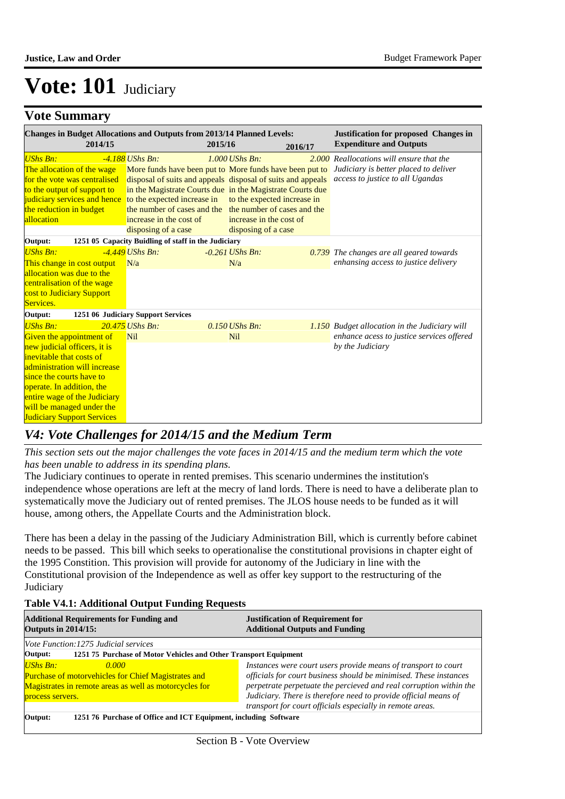# **Vote Summary**

| <b>Changes in Budget Allocations and Outputs from 2013/14 Planned Levels:</b><br>2014/15                                                                                                                                                                                                           | 2015/16                                                                                            |                                                                                                                                                                                                                                                                                                                                    | <b>Justification for proposed Changes in</b><br><b>Expenditure and Outputs</b>                                        |
|----------------------------------------------------------------------------------------------------------------------------------------------------------------------------------------------------------------------------------------------------------------------------------------------------|----------------------------------------------------------------------------------------------------|------------------------------------------------------------------------------------------------------------------------------------------------------------------------------------------------------------------------------------------------------------------------------------------------------------------------------------|-----------------------------------------------------------------------------------------------------------------------|
| <b>UShs Bn:</b><br>The allocation of the wage<br>for the vote was centralised<br>to the output of support to<br>judiciary services and hence to the expected increase in<br>the reduction in budget<br>allocation                                                                                  | $-4.188$ UShs Bn:<br>the number of cases and the<br>increase in the cost of<br>disposing of a case | 2016/17<br>$1.000$ UShs Bn:<br>More funds have been put to More funds have been put to<br>disposal of suits and appeals disposal of suits and appeals<br>in the Magistrate Courts due in the Magistrate Courts due<br>to the expected increase in<br>the number of cases and the<br>increase in the cost of<br>disposing of a case | 2.000 Reallocations will ensure that the<br>Judiciary is better placed to deliver<br>access to justice to all Ugandas |
| Output:                                                                                                                                                                                                                                                                                            | 1251 05 Capacity Buidling of staff in the Judiciary                                                |                                                                                                                                                                                                                                                                                                                                    |                                                                                                                       |
| <b>UShs Bn:</b><br>This change in cost output<br>allocation was due to the<br>centralisation of the wage<br>cost to Judiciary Support<br>Services.                                                                                                                                                 | $-4.449$ UShs Bn:<br>N/a                                                                           | $-0.261$ UShs Bn:<br>N/a                                                                                                                                                                                                                                                                                                           | 0.739 The changes are all geared towards<br>enhansing access to justice delivery                                      |
| Output:                                                                                                                                                                                                                                                                                            | 1251 06 Judiciary Support Services                                                                 |                                                                                                                                                                                                                                                                                                                                    |                                                                                                                       |
| <b>UShs Bn:</b><br>Given the appointment of<br>new judicial officers, it is<br>inevitable that costs of<br>administration will increase<br>since the courts have to<br>operate. In addition, the<br>entire wage of the Judiciary<br>will be managed under the<br><b>Judiciary Support Services</b> | 20.475 UShs Bn:<br><b>Nil</b>                                                                      | $0.150$ UShs Bn:<br><b>Nil</b>                                                                                                                                                                                                                                                                                                     | 1.150 Budget allocation in the Judiciary will<br>enhance acess to justice services offered<br>by the Judiciary        |

# *V4: Vote Challenges for 2014/15 and the Medium Term*

*This section sets out the major challenges the vote faces in 2014/15 and the medium term which the vote has been unable to address in its spending plans.*

The Judiciary continues to operate in rented premises. This scenario undermines the institution's independence whose operations are left at the mecry of land lords. There is need to have a deliberate plan to systematically move the Judiciary out of rented premises. The JLOS house needs to be funded as it will house, among others, the Appellate Courts and the Administration block.

There has been a delay in the passing of the Judiciary Administration Bill, which is currently before cabinet needs to be passed. This bill which seeks to operationalise the constitutional provisions in chapter eight of the 1995 Constition. This provision will provide for autonomy of the Judiciary in line with the Constitutional provision of the Independence as well as offer key support to the restructuring of the **Judiciary** 

### **Table V4.1: Additional Output Funding Requests**

| <b>Additional Requirements for Funding and</b><br><b>Outputs in 2014/15:</b>                                                                                  | <b>Justification of Requirement for</b><br><b>Additional Outputs and Funding</b>                                                                                                                                                                                                                                                          |
|---------------------------------------------------------------------------------------------------------------------------------------------------------------|-------------------------------------------------------------------------------------------------------------------------------------------------------------------------------------------------------------------------------------------------------------------------------------------------------------------------------------------|
| <i>Vote Function:1275 Judicial services</i>                                                                                                                   |                                                                                                                                                                                                                                                                                                                                           |
| 1251 75 Purchase of Motor Vehicles and Other Transport Equipment<br>Output:                                                                                   |                                                                                                                                                                                                                                                                                                                                           |
| UShs Bn:<br>0.000<br><b>Purchase of motorvehicles for Chief Magistrates and</b><br>Magistrates in remote areas as well as motorcycles for<br>process servers. | Instances were court users provide means of transport to court<br>officials for court business should be minimised. These instances<br>perpetrate perpetuate the percieved and real corruption within the<br>Judiciary. There is therefore need to provide official means of<br>transport for court officials especially in remote areas. |
| 1251 76 Purchase of Office and ICT Equipment, including Software<br>Output:                                                                                   |                                                                                                                                                                                                                                                                                                                                           |